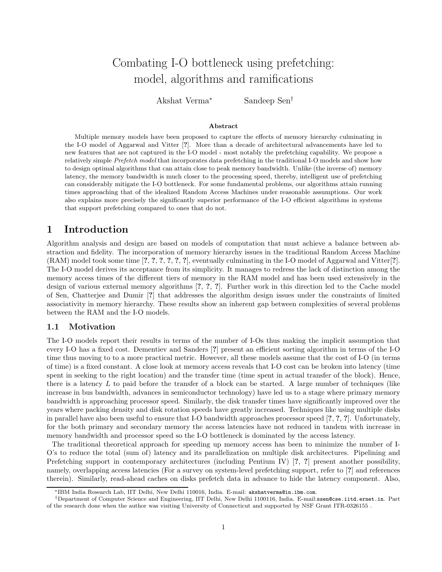# Combating I-O bottleneck using prefetching: model, algorithms and ramifications

Akshat Verma<sup>∗</sup> Sandeep Sen†

#### Abstract

Multiple memory models have been proposed to capture the effects of memory hierarchy culminating in the I-O model of Aggarwal and Vitter [?]. More than a decade of architectural advancements have led to new features that are not captured in the I-O model - most notably the prefetching capability. We propose a relatively simple Prefetch model that incorporates data prefetching in the traditional I-O models and show how to design optimal algorithms that can attain close to peak memory bandwidth. Unlike (the inverse of) memory latency, the memory bandwidth is much closer to the processing speed, thereby, intelligent use of prefetching can considerably mitigate the I-O bottleneck. For some fundamental problems, our algorithms attain running times approaching that of the idealized Random Access Machines under reasonable assumptions. Our work also explains more precisely the significantly superior performance of the I-O efficient algorithms in systems that support prefetching compared to ones that do not.

## 1 Introduction

Algorithm analysis and design are based on models of computation that must achieve a balance between abstraction and fidelity. The incorporation of memory hierarchy issues in the traditional Random Access Machine (RAM) model took some time [?, ?, ?, ?, ?, ?], eventually culminating in the I-O model of Aggarwal and Vitter[?]. The I-O model derives its acceptance from its simplicity. It manages to redress the lack of distinction among the memory access times of the different tiers of memory in the RAM model and has been used extensively in the design of various external memory algorithms [?, ?, ?]. Further work in this direction led to the Cache model of Sen, Chatterjee and Dumir [?] that addresses the algorithm design issues under the constraints of limited associativity in memory hierarchy. These results show an inherent gap between complexities of several problems between the RAM and the I-O models.

#### 1.1 Motivation

The I-O models report their results in terms of the number of I-Os thus making the implicit assumption that every I-O has a fixed cost. Dementiev and Sanders [?] present an efficient sorting algorithm in terms of the I-O time thus moving to to a more practical metric. However, all these models assume that the cost of I-O (in terms of time) is a fixed constant. A close look at memory access reveals that I-O cost can be broken into latency (time spent in seeking to the right location) and the transfer time (time spent in actual transfer of the block). Hence, there is a latency  $L$  to paid before the transfer of a block can be started. A large number of techniques (like increase in bus bandwidth, advances in semiconductor technology) have led us to a stage where primary memory bandwidth is approaching processor speed. Similarly, the disk transfer times have significantly improved over the years where packing density and disk rotation speeds have greatly increased. Techniques like using multiple disks in parallel have also been useful to ensure that I-O bandwidth approaches processor speed [?, ?, ?]. Unfortunately, for the both primary and secondary memory the access latencies have not reduced in tandem with increase in memory bandwidth and processor speed so the I-O bottleneck is dominated by the access latency.

The traditional theoretical approach for speeding up memory access has been to minimize the number of I-O's to reduce the total (sum of) latency and its parallelization on multiple disk architectures. Pipelining and Prefetching support in contemporary architectures (including Pentium IV) [?, ?] present another possibility, namely, overlapping access latencies (For a survey on system-level prefetching support, refer to [?] and references therein). Similarly, read-ahead caches on disks prefetch data in advance to hide the latency component. Also,

<sup>∗</sup> IBM India Research Lab, IIT Delhi, New Delhi 110016, India. E-mail: akshatverma@in.ibm.com.

<sup>†</sup>Department of Computer Science and Engineering, IIT Delhi, New Delhi 1100116, India. E-mail:ssen@cse.iitd.ernet.in. Part of the research done when the author was visiting University of Connecticut and supported by NSF Grant ITR-0326155 .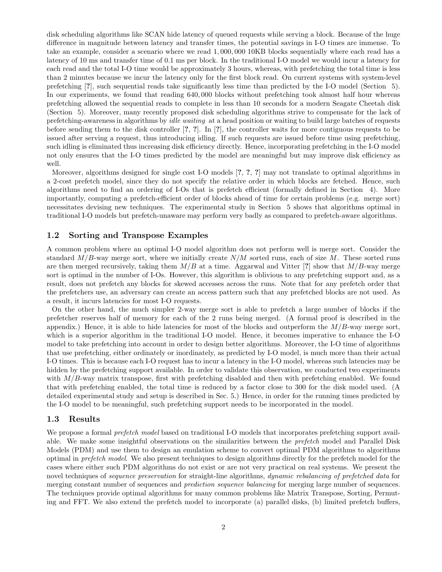disk scheduling algorithms like SCAN hide latency of queued requests while serving a block. Because of the huge difference in magnitude between latency and transfer times, the potential savings in I-O times are immense. To take an example, consider a scenario where we read 1, 000, 000 10KB blocks sequentially where each read has a latency of 10 ms and transfer time of 0.1 ms per block. In the traditional I-O model we would incur a latency for each read and the total I-O time would be approximately 3 hours, whereas, with prefetching the total time is less than 2 minutes because we incur the latency only for the first block read. On current systems with system-level prefetching [?], such sequential reads take significantly less time than predicted by the I-O model (Section 5). In our experiments, we found that reading 640, 000 blocks without prefetching took almost half hour whereas prefetching allowed the sequential reads to complete in less than 10 seconds for a modern Seagate Cheetah disk (Section 5). Moreover, many recently proposed disk scheduling algorithms strive to compensate for the lack of prefetching-awareness in algorithms by idle waiting at a head position or waiting to build large batches of requests before sending them to the disk controller [?, ?]. In [?], the controller waits for more contiguous requests to be issued after serving a request, thus introducing idling. If such requests are issued before time using prefetching, such idling is eliminated thus increasing disk efficiency directly. Hence, incorporating prefetching in the I-O model not only ensures that the I-O times predicted by the model are meaningful but may improve disk efficiency as well.

Moreover, algorithms designed for single cost I-O models [?, ?, ?] may not translate to optimal algorithms in a 2-cost prefetch model, since they do not specify the relative order in which blocks are fetched. Hence, such algorithms need to find an ordering of I-Os that is prefetch efficient (formally defined in Section 4). More importantly, computing a prefetch-efficient order of blocks ahead of time for certain problems (e.g. merge sort) necessitates devising new techniques. The experimental study in Section 5 shows that algorithms optimal in traditional I-O models but prefetch-unaware may perform very badly as compared to prefetch-aware algorithms.

#### 1.2 Sorting and Transpose Examples

A common problem where an optimal I-O model algorithm does not perform well is merge sort. Consider the standard  $M/B$ -way merge sort, where we initially create  $N/M$  sorted runs, each of size M. These sorted runs are then merged recursively, taking them  $M/B$  at a time. Aggarwal and Vitter [?] show that  $M/B$ -way merge sort is optimal in the number of I-Os. However, this algorithm is oblivious to any prefetching support and, as a result, does not prefetch any blocks for skewed accesses across the runs. Note that for any prefetch order that the prefetchers use, an adversary can create an access pattern such that any prefetched blocks are not used. As a result, it incurs latencies for most I-O requests.

On the other hand, the much simpler 2-way merge sort is able to prefetch a large number of blocks if the prefetcher reserves half of memory for each of the 2 runs being merged. (A formal proof is described in the appendix.) Hence, it is able to hide latencies for most of the blocks and outperform the  $M/B$ -way merge sort, which is a superior algorithm in the traditional I-O model. Hence, it becomes imperative to enhance the I-O model to take prefetching into account in order to design better algorithms. Moreover, the I-O time of algorithms that use prefetching, either ordinately or inordinately, as predicted by I-O model, is much more than their actual I-O times. This is because each I-O request has to incur a latency in the I-O model, whereas such latencies may be hidden by the prefetching support available. In order to validate this observation, we conducted two experiments with  $M/B$ -way matrix transpose, first with prefetching disabled and then with prefetching enabled. We found that with prefetching enabled, the total time is reduced by a factor close to 300 for the disk model used. (A detailed experimental study and setup is described in Sec. 5.) Hence, in order for the running times predicted by the I-O model to be meaningful, such prefetching support needs to be incorporated in the model.

#### 1.3 Results

We propose a formal *prefetch model* based on traditional I-O models that incorporates prefetching support available. We make some insightful observations on the similarities between the *prefetch* model and Parallel Disk Models (PDM) and use them to design an emulation scheme to convert optimal PDM algorithms to algorithms optimal in prefetch model. We also present techniques to design algorithms directly for the prefetch model for the cases where either such PDM algorithms do not exist or are not very practical on real systems. We present the novel techniques of *sequence preservation* for straight-line algorithms, *dynamic rebalancing of prefetched data* for merging constant number of sequences and *prediction sequence balancing* for merging large number of sequences. The techniques provide optimal algorithms for many common problems like Matrix Transpose, Sorting, Permuting and FFT. We also extend the prefetch model to incorporate (a) parallel disks, (b) limited prefetch buffers,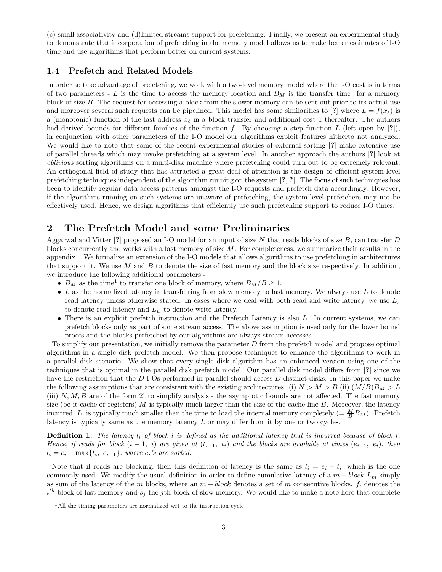(c) small associativity and (d)limited streams support for prefetching. Finally, we present an experimental study to demonstrate that incorporation of prefetching in the memory model allows us to make better estimates of I-O time and use algorithms that perform better on current systems.

### 1.4 Prefetch and Related Models

In order to take advantage of prefetching, we work with a two-level memory model where the I-O cost is in terms of two parameters - L is the time to access the memory location and  $B<sub>M</sub>$  is the transfer time for a memory block of size B. The request for accessing a block from the slower memory can be sent out prior to its actual use and moreover several such requests can be pipelined. This model has some similarities to [?] where  $L = f(x_\ell)$  is a (monotonic) function of the last address  $x_\ell$  in a block transfer and additional cost 1 thereafter. The authors had derived bounds for different families of the function f. By choosing a step function L (left open by [?]), in conjunction with other parameters of the I-O model our algorithms exploit features hitherto not analyzed. We would like to note that some of the recent experimental studies of external sorting [?] make extensive use of parallel threads which may invoke prefetching at a system level. In another approach the authors [?] look at oblivious sorting algorithms on a multi-disk machine where prefetching could turn out to be extremely relevant. An orthogonal field of study that has attracted a great deal of attention is the design of efficient system-level prefetching techniques independent of the algorithm running on the system [?, ?]. The focus of such techniques has been to identify regular data access patterns amongst the I-O requests and prefetch data accordingly. However, if the algorithms running on such systems are unaware of prefetching, the system-level prefetchers may not be effectively used. Hence, we design algorithms that efficiently use such prefetching support to reduce I-O times.

## 2 The Prefetch Model and some Preliminaries

Aggarwal and Vitter [?] proposed an I-O model for an input of size N that reads blocks of size B, can transfer D blocks concurrently and works with a fast memory of size  $M$ . For completeness, we summarize their results in the appendix. We formalize an extension of the I-O models that allows algorithms to use prefetching in architectures that support it. We use  $M$  and  $B$  to denote the size of fast memory and the block size respectively. In addition, we introduce the following additional parameters -

- $B_M$  as the time<sup>1</sup> to transfer one block of memory, where  $B_M/B \geq 1$ .
- $\bullet$  L as the normalized latency in transferring from slow memory to fast memory. We always use L to denote read latency unless otherwise stated. In cases where we deal with both read and write latency, we use  $L_r$ to denote read latency and  $L_w$  to denote write latency.
- There is an explicit prefetch instruction and the Prefetch Latency is also L. In current systems, we can prefetch blocks only as part of some stream access. The above assumption is used only for the lower bound proofs and the blocks prefetched by our algorithms are always stream accesses.

To simplify our presentation, we initially remove the parameter D from the prefetch model and propose optimal algorithms in a single disk prefetch model. We then propose techniques to enhance the algorithms to work in a parallel disk scenario. We show that every single disk algorithm has an enhanced version using one of the techniques that is optimal in the parallel disk prefetch model. Our parallel disk model differs from [?] since we have the restriction that the D I-Os performed in parallel should access D distinct disks. In this paper we make the following assumptions that are consistent with the existing architectures. (i)  $N > M > B$  (ii)  $(M/B)B_M > L$ (iii)  $N, M, B$  are of the form  $2<sup>i</sup>$  to simplify analysis - the asymptotic bounds are not affected. The fast memory size (be it cache or registers)  $M$  is typically much larger than the size of the cache line  $B$ . Moreover, the latency incurred, L, is typically much smaller than the time to load the internal memory completely  $(=\frac{M}{B}B_M)$ . Prefetch latency is typically same as the memory latency L or may differ from it by one or two cycles.

**Definition 1.** The latency  $l_i$  of block i is defined as the additional latency that is incurred because of block i. Hence, if reads for block  $(i - 1, i)$  are given at  $(t_{i-1}, t_i)$  and the blocks are available at times  $(e_{i-1}, e_i)$ , then  $l_i = e_i - \max\{t_i, e_{i-1}\}\$ , where  $e_i$ 's are sorted.

Note that if reads are blocking, then this definition of latency is the same as  $l_i = e_i - t_i$ , which is the one commonly used. We modify the usual definition in order to define cumulative latency of a  $m - block L_m$  simply as sum of the latency of the m blocks, where an  $m - block$  denotes a set of m consecutive blocks.  $f_i$  denotes the  $i^{th}$  block of fast memory and  $s_j$  the jth block of slow memory. We would like to make a note here that complete

<sup>1</sup>All the timing parameters are normalized wrt to the instruction cycle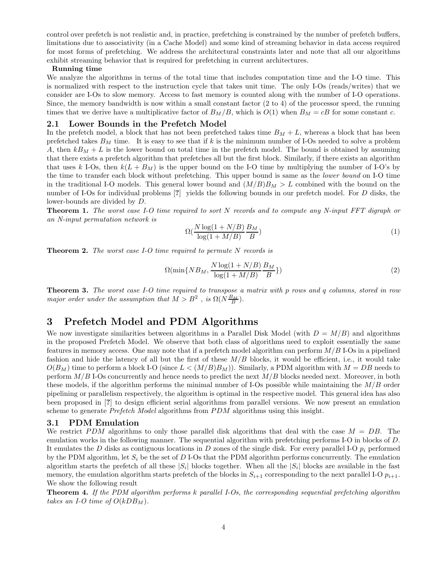control over prefetch is not realistic and, in practice, prefetching is constrained by the number of prefetch buffers, limitations due to associativity (in a Cache Model) and some kind of streaming behavior in data access required for most forms of prefetching. We address the architectural constraints later and note that all our algorithms exhibit streaming behavior that is required for prefetching in current architectures.

#### Running time

We analyze the algorithms in terms of the total time that includes computation time and the I-O time. This is normalized with respect to the instruction cycle that takes unit time. The only I-Os (reads/writes) that we consider are I-Os to slow memory. Access to fast memory is counted along with the number of I-O operations. Since, the memory bandwidth is now within a small constant factor (2 to 4) of the processor speed, the running times that we derive have a multiplicative factor of  $B_M/B$ , which is  $O(1)$  when  $B_M = cB$  for some constant c.

#### 2.1 Lower Bounds in the Prefetch Model

In the prefetch model, a block that has not been prefetched takes time  $B_M + L$ , whereas a block that has been prefetched takes  $B_M$  time. It is easy to see that if k is the minimum number of I-Os needed to solve a problem A, then  $kB_M + L$  is the lower bound on total time in the prefetch model. The bound is obtained by assuming that there exists a prefetch algorithm that prefetches all but the first block. Similarly, if there exists an algorithm that uses k I-Os, then  $k(L + B_M)$  is the upper bound on the I-O time by multiplying the number of I-O's by the time to transfer each block without prefetching. This upper bound is same as the lower bound on I-O time in the traditional I-O models. This general lower bound and  $(M/B)B_M > L$  combined with the bound on the number of I-Os for individual problems [?] yields the following bounds in our prefetch model. For D disks, the lower-bounds are divided by D.

Theorem 1. The worst case I-O time required to sort N records and to compute any N-input FFT digraph or an N-input permutation network is

$$
\Omega(\frac{N\log(1+N/B)}{\log(1+M/B)}\frac{B_M}{B})\tag{1}
$$

**Theorem 2.** The worst case  $I-O$  time required to permute  $N$  records is

$$
\Omega(\min\{NB_M, \frac{N\log(1+N/B)}{\log(1+M/B)}\frac{B_M}{B}\})
$$
\n(2)

**Theorem 3.** The worst case I-O time required to transpose a matrix with p rows and q columns, stored in row major order under the assumption that  $M > B^2$ , is  $\Omega(N_{\frac{BM}{B}}^{\frac{BM}{}})$ .

## 3 Prefetch Model and PDM Algorithms

We now investigate similarities between algorithms in a Parallel Disk Model (with  $D = M/B$ ) and algorithms in the proposed Prefetch Model. We observe that both class of algorithms need to exploit essentially the same features in memory access. One may note that if a prefetch model algorithm can perform  $M/B$  I-Os in a pipelined fashion and hide the latency of all but the first of these  $M/B$  blocks, it would be efficient, i.e., it would take  $O(B_M)$  time to perform a block I-O (since  $L < (M/B)B_M$ )). Similarly, a PDM algorithm with  $M = DB$  needs to perform  $M/B$  I-Os concurrently and hence needs to predict the next  $M/B$  blocks needed next. Moreover, in both these models, if the algorithm performs the minimal number of I-Os possible while maintaining the  $M/B$  order pipelining or parallelism respectively, the algorithm is optimal in the respective model. This general idea has also been proposed in [?] to design efficient serial algorithms from parallel versions. We now present an emulation scheme to generate *Prefetch Model* algorithms from *PDM* algorithms using this insight.

#### 3.1 PDM Emulation

We restrict PDM algorithms to only those parallel disk algorithms that deal with the case  $M = DB$ . The emulation works in the following manner. The sequential algorithm with prefetching performs I-O in blocks of D. It emulates the D disks as contiguous locations in D zones of the single disk. For every parallel I-O  $p_i$  performed by the PDM algorithm, let  $S_i$  be the set of D I-Os that the PDM algorithm performs concurrently. The emulation algorithm starts the prefetch of all these  $|S_i|$  blocks together. When all the  $|S_i|$  blocks are available in the fast memory, the emulation algorithm starts prefetch of the blocks in  $S_{i+1}$  corresponding to the next parallel I-O  $p_{i+1}$ . We show the following result

**Theorem 4.** If the PDM algorithm performs  $k$  parallel I-Os, the corresponding sequential prefetching algorithm takes an I-O time of  $O(kDB<sub>M</sub>)$ .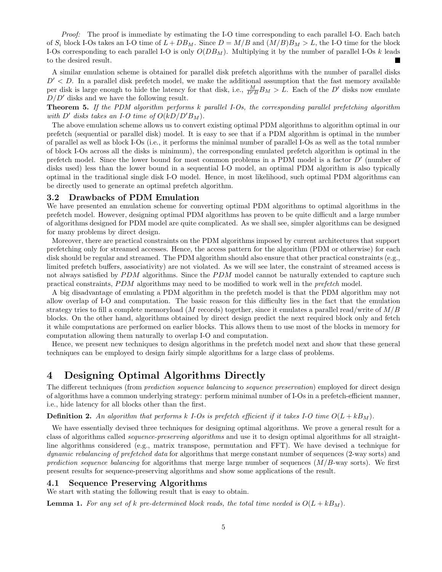Proof: The proof is immediate by estimating the I-O time corresponding to each parallel I-O. Each batch of  $S_i$  block I-Os takes an I-O time of  $L + DB_M$ . Since  $D = M/B$  and  $(M/B)B_M > L$ , the I-O time for the block I-Os corresponding to each parallel I-O is only  $O(DB<sub>M</sub>)$ . Multiplying it by the number of parallel I-Os k leads to the desired result. **The Second Service** 

A similar emulation scheme is obtained for parallel disk prefetch algorithms with the number of parallel disks  $D' < D$ . In a parallel disk prefetch model, we make the additional assumption that the fast memory available per disk is large enough to hide the latency for that disk, i.e.,  $\frac{M}{D'B} B_M > L$ . Each of the D' disks now emulate  $D/D'$  disks and we have the following result.

Theorem 5. If the PDM algorithm performs k parallel I-Os, the corresponding parallel prefetching algorithm with D' disks takes an I-O time of  $O(kD/D'B_M)$ .

The above emulation scheme allows us to convert existing optimal PDM algorithms to algorithm optimal in our prefetch (sequential or parallel disk) model. It is easy to see that if a PDM algorithm is optimal in the number of parallel as well as block I-Os (i.e., it performs the minimal number of parallel I-Os as well as the total number of block I-Os across all the disks is minimum), the corresponding emulated prefetch algorithm is optimal in the prefetch model. Since the lower bound for most common problems in a PDM model is a factor  $D'$  (number of disks used) less than the lower bound in a sequential I-O model, an optimal PDM algorithm is also typically optimal in the traditional single disk I-O model. Hence, in most likelihood, such optimal PDM algorithms can be directly used to generate an optimal prefetch algorithm.

#### 3.2 Drawbacks of PDM Emulation

We have presented an emulation scheme for converting optimal PDM algorithms to optimal algorithms in the prefetch model. However, designing optimal PDM algorithms has proven to be quite difficult and a large number of algorithms designed for PDM model are quite complicated. As we shall see, simpler algorithms can be designed for many problems by direct design.

Moreover, there are practical constraints on the PDM algorithms imposed by current architectures that support prefetching only for streamed accesses. Hence, the access pattern for the algorithm (PDM or otherwise) for each disk should be regular and streamed. The PDM algorithm should also ensure that other practical constraints (e.g., limited prefetch buffers, associativity) are not violated. As we will see later, the constraint of streamed access is not always satisfied by PDM algorithms. Since the PDM model cannot be naturally extended to capture such practical constraints, PDM algorithms may need to be modified to work well in the *prefetch* model.

A big disadvantage of emulating a PDM algorithm in the prefetch model is that the PDM algorithm may not allow overlap of I-O and computation. The basic reason for this difficulty lies in the fact that the emulation strategy tries to fill a complete memoryload (M records) together, since it emulates a parallel read/write of  $M/B$ blocks. On the other hand, algorithms obtained by direct design predict the next required block only and fetch it while computations are performed on earlier blocks. This allows them to use most of the blocks in memory for computation allowing them naturally to overlap I-O and computation.

Hence, we present new techniques to design algorithms in the prefetch model next and show that these general techniques can be employed to design fairly simple algorithms for a large class of problems.

### 4 Designing Optimal Algorithms Directly

The different techniques (from *prediction sequence balancing* to *sequence preservation*) employed for direct design of algorithms have a common underlying strategy: perform minimal number of I-Os in a prefetch-efficient manner, i.e., hide latency for all blocks other than the first.

**Definition 2.** An algorithm that performs k I-Os is prefetch efficient if it takes I-O time  $O(L + kB_M)$ .

We have essentially devised three techniques for designing optimal algorithms. We prove a general result for a class of algorithms called sequence-preserving algorithms and use it to design optimal algorithms for all straightline algorithms considered (e.g., matrix transpose, permutation and FFT). We have devised a technique for dynamic rebalancing of prefetched data for algorithms that merge constant number of sequences (2-way sorts) and prediction sequence balancing for algorithms that merge large number of sequences  $(M/B$ -way sorts). We first present results for sequence-preserving algorithms and show some applications of the result.

#### 4.1 Sequence Preserving Algorithms

We start with stating the following result that is easy to obtain.

**Lemma 1.** For any set of k pre-determined block reads, the total time needed is  $O(L + kB_M)$ .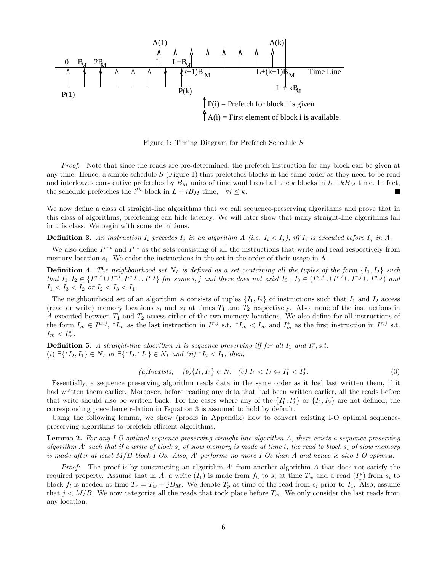

Figure 1: Timing Diagram for Prefetch Schedule S

Proof: Note that since the reads are pre-determined, the prefetch instruction for any block can be given at any time. Hence, a simple schedule  $S$  (Figure 1) that prefetches blocks in the same order as they need to be read and interleaves consecutive prefetches by  $B_M$  units of time would read all the k blocks in  $L + kB_M$  time. In fact, the schedule prefetches the  $i^{th}$  block in  $L + iB_M$  time,  $\forall i \leq k$ .

We now define a class of straight-line algorithms that we call sequence-preserving algorithms and prove that in this class of algorithms, prefetching can hide latency. We will later show that many straight-line algorithms fall in this class. We begin with some definitions.

**Definition 3.** An instruction  $I_i$  precedes  $I_j$  in an algorithm A (i.e.  $I_i < I_j$ ), iff  $I_i$  is executed before  $I_j$  in A.

We also define  $I^{w,i}$  and  $I^{r,i}$  as the sets consisting of all the instructions that write and read respectively from memory location  $s_i$ . We order the instructions in the set in the order of their usage in A.

**Definition 4.** The neighbourhood set N<sub>I</sub> is defined as a set containing all the tuples of the form  $\{I_1, I_2\}$  such that  $I_1, I_2 \in \{I^{w,i} \cup I^{r,i}, I^{w,j} \cup I^{r,j}\}$  for some i,j and there does not exist  $I_3: I_3 \in (I^{w,i} \cup I^{r,i} \cup I^{r,j} \cup I^{w,j})$  and  $I_1 < I_3 < I_2$  or  $I_2 < I_3 < I_1$ .

The neighbourhood set of an algorithm A consists of tuples  $\{I_1, I_2\}$  of instructions such that  $I_1$  and  $I_2$  access (read or write) memory locations  $s_i$  and  $s_j$  at times  $T_1$  and  $T_2$  respectively. Also, none of the instructions in A executed between  $T_1$  and  $T_2$  access either of the two memory locations. We also define for all instructions of the form  $I_m \in I^{w,j}$ ,  ${}^*I_m$  as the last instruction in  $I^{r,j}$  s.t.  ${}^*I_m < I_m$  and  $I_m^*$  as the first instruction in  $I^{r,j}$  s.t.  $I_m < I_m^*$ .

**Definition 5.** A straight-line algorithm A is sequence preserving iff for all  $I_1$  and  $I_1^*$ , s.t. (i)  $\exists \{^*I_2, I_1\} \in N_I$  or  $\exists \{^*I_2,^*I_1\} \in N_I$  and (ii)  $^*I_2 < I_1$ ; then,

$$
(a) I_2 exists, \quad (b) \{I_1, I_2\} \in N_I \quad (c) I_1 < I_2 \Leftrightarrow I_1^* < I_2^* \tag{3}
$$

Essentially, a sequence preserving algorithm reads data in the same order as it had last written them, if it had written them earlier. Moreover, before reading any data that had been written earlier, all the reads before that write should also be written back. For the cases where any of the  $\{I_1^*, I_2^*\}$  or  $\{I_1, I_2\}$  are not defined, the corresponding precedence relation in Equation 3 is assumed to hold by default.

Using the following lemma, we show (proofs in Appendix) how to convert existing I-O optimal sequencepreserving algorithms to prefetch-efficient algorithms.

Lemma 2. For any I-O optimal sequence-preserving straight-line algorithm A, there exists a sequence-preserving algorithm  $A'$  such that if a write of block  $s_i$  of slow memory is made at time t, the read to block  $s_i$  of slow memory is made after at least M/B block I-Os. Also, A′ performs no more I-Os than A and hence is also I-O optimal.

Proof: The proof is by constructing an algorithm  $A'$  from another algorithm  $A$  that does not satisfy the required property. Assume that in A, a write  $(I_1)$  is made from  $f_h$  to  $s_i$  at time  $T_w$  and a read  $(I_1^*)$  from  $s_i$  to block  $f_l$  is needed at time  $T_r = T_w + jB_M$ . We denote  $T_p$  as time of the read from  $s_i$  prior to  $I_1$ . Also, assume that  $j < M/B$ . We now categorize all the reads that took place before  $T_w$ . We only consider the last reads from any location.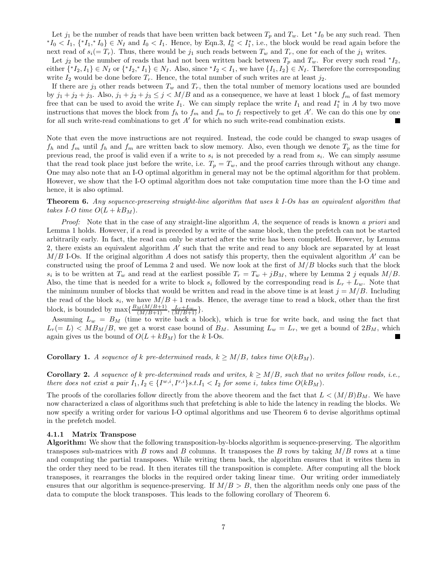Let  $j_1$  be the number of reads that have been written back between  $T_p$  and  $T_w$ . Let  $^*I_0$  be any such read. Then  ${}^*I_0 < I_1$ ,  ${}^*I_1$ ,  ${}^*I_0$   $\in N_I$  and  $I_0 < I_1$ . Hence, by Eqn.3,  $I_0^* < I_1^*$ , i.e., the block would be read again before the next read of  $s_i (= T_r)$ . Thus, there would be  $j_1$  such reads between  $T_w$  and  $T_r$ , one for each of the  $j_1$  writes.

Let  $j_2$  be the number of reads that had not been written back between  $T_p$  and  $T_w$ . For every such read  $*I_2$ , either  $\{^*I_2, I_1\} \in N_I$  or  $\{^*I_2,^*I_1\} \in N_I$ . Also, since  $^*I_2 < I_1$ , we have  $\{I_1, I_2\} \in N_I$ . Therefore the corresponding write  $I_2$  would be done before  $T_r$ . Hence, the total number of such writes are at least  $j_2$ .

If there are  $j_3$  other reads between  $T_w$  and  $T_r$ , then the total number of memory locations used are bounded by  $j_1 + j_2 + j_3$ . Also,  $j_1 + j_2 + j_3 \le j < M/B$  and as a consequence, we have at least 1 block  $f_m$  of fast memory free that can be used to avoid the write  $I_1$ . We can simply replace the write  $I_1$  and read  $I_1^*$  in A by two move instructions that moves the block from  $f_h$  to  $f_m$  and  $f_m$  to  $f_l$  respectively to get A'. We can do this one by one for all such write-read combinations to get A' for which no such write-read combination exists. a s

Note that even the move instructions are not required. Instead, the code could be changed to swap usages of  $f_h$  and  $f_m$  until  $f_h$  and  $f_m$  are written back to slow memory. Also, even though we denote  $T_p$  as the time for previous read, the proof is valid even if a write to  $s_i$  is not preceded by a read from  $s_i$ . We can simply assume that the read took place just before the write, i.e.  $T_p = T_w$ , and the proof carries through without any change. One may also note that an I-O optimal algorithm in general may not be the optimal algorithm for that problem. However, we show that the I-O optimal algorithm does not take computation time more than the I-O time and hence, it is also optimal.

**Theorem 6.** Any sequence-preserving straight-line algorithm that uses  $k \sim 1$ -Os has an equivalent algorithm that takes I-O time  $O(L + kB<sub>M</sub>)$ .

Proof: Note that in the case of any straight-line algorithm A, the sequence of reads is known a priori and Lemma 1 holds. However, if a read is preceded by a write of the same block, then the prefetch can not be started arbitrarily early. In fact, the read can only be started after the write has been completed. However, by Lemma 2, there exists an equivalent algorithm A′ such that the write and read to any block are separated by at least  $M/B$  I-Os. If the original algorithm A does not satisfy this property, then the equivalent algorithm  $A'$  can be constructed using the proof of Lemma 2 and used. We now look at the first of  $M/B$  blocks such that the block  $s_i$  is to be written at  $T_w$  and read at the earliest possible  $T_r = T_w + jB_M$ , where by Lemma 2 j equals  $M/B$ . Also, the time that is needed for a write to block  $s_i$  followed by the corresponding read is  $L_r + L_w$ . Note that the minimum number of blocks that would be written and read in the above time is at least  $j = M/B$ . Including the read of the block  $s_i$ , we have  $M/B + 1$  reads. Hence, the average time to read a block, other than the first block, is bounded by  $\max\left\{\frac{B_M(M/B+1)}{(M/B+1)}, \frac{L_r+L_w}{(M/B+1)}\right\}.$ 

Assuming  $L_w = B_M$  (time to write back a block), which is true for write back, and using the fact that  $L_r(= L) < MB_M/B$ , we get a worst case bound of  $B_M$ . Assuming  $L_w = L_r$ , we get a bound of  $2B_M$ , which again gives us the bound of  $O(L + kB_M)$  for the k I-Os.

**Corollary 1.** A sequence of k pre-determined reads,  $k \geq M/B$ , takes time  $O(kB_M)$ .

**Corollary 2.** A sequence of k pre-determined reads and writes,  $k \geq M/B$ , such that no writes follow reads, i.e., there does not exist a pair  $I_1, I_2 \in \{I^{w,i}, I^{r,i}\}\$ s.t. $I_1 < I_2$  for some i, takes time  $O(kB_M)$ .

The proofs of the corollaries follow directly from the above theorem and the fact that  $L < (M/B)B_M$ . We have now characterized a class of algorithms such that prefetching is able to hide the latency in reading the blocks. We now specify a writing order for various I-O optimal algorithms and use Theorem 6 to devise algorithms optimal in the prefetch model.

#### 4.1.1 Matrix Transpose

Algorithm: We show that the following transposition-by-blocks algorithm is sequence-preserving. The algorithm transposes sub-matrices with B rows and B columns. It transposes the B rows by taking  $M/B$  rows at a time and computing the partial transposes. While writing them back, the algorithm ensures that it writes them in the order they need to be read. It then iterates till the transposition is complete. After computing all the block transposes, it rearranges the blocks in the required order taking linear time. Our writing order immediately ensures that our algorithm is sequence-preserving. If  $M/B > B$ , then the algorithm needs only one pass of the data to compute the block transposes. This leads to the following corollary of Theorem 6.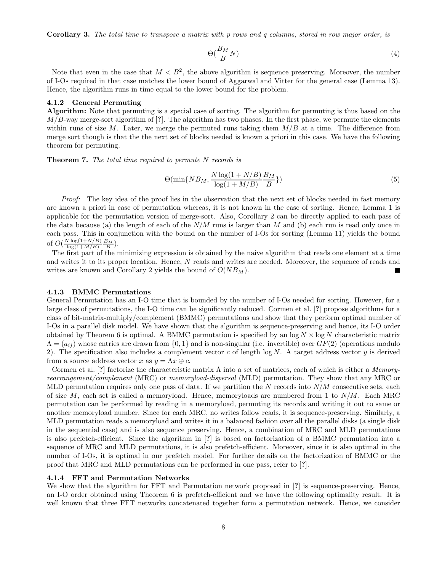Corollary 3. The total time to transpose a matrix with p rows and q columns, stored in row major order, is

$$
\Theta(\frac{B_M}{B}N) \tag{4}
$$

Note that even in the case that  $M < B^2$ , the above algorithm is sequence preserving. Moreover, the number of I-Os required in that case matches the lower bound of Aggarwal and Vitter for the general case (Lemma 13). Hence, the algorithm runs in time equal to the lower bound for the problem.

#### 4.1.2 General Permuting

Algorithm: Note that permuting is a special case of sorting. The algorithm for permuting is thus based on the  $M/B$ -way merge-sort algorithm of [?]. The algorithm has two phases. In the first phase, we permute the elements within runs of size M. Later, we merge the permuted runs taking them  $M/B$  at a time. The difference from merge sort though is that the the next set of blocks needed is known a priori in this case. We have the following theorem for permuting.

**Theorem 7.** The total time required to permute N records is

$$
\Theta(\min\{NB_M, \frac{N\log(1+N/B)}{\log(1+M/B)}\frac{B_M}{B}\})
$$
\n<sup>(5)</sup>

Proof: The key idea of the proof lies in the observation that the next set of blocks needed in fast memory are known a priori in case of permutation whereas, it is not known in the case of sorting. Hence, Lemma 1 is applicable for the permutation version of merge-sort. Also, Corollary 2 can be directly applied to each pass of the data because (a) the length of each of the  $N/M$  runs is larger than M and (b) each run is read only once in each pass. This in conjunction with the bound on the number of I-Os for sorting (Lemma 11) yields the bound of  $O(\frac{N \log(1+N/B)}{\log(1+M/B)})$  $\frac{\text{N log}(1+N/B)}{\text{log}(1+M/B)} \frac{B_M}{B}$ .

The first part of the minimizing expression is obtained by the naive algorithm that reads one element at a time and writes it to its proper location. Hence, N reads and writes are needed. Moreover, the sequence of reads and writes are known and Corollary 2 yields the bound of  $O(NB<sub>M</sub>)$ .

#### 4.1.3 BMMC Permutations

General Permutation has an I-O time that is bounded by the number of I-Os needed for sorting. However, for a large class of permutations, the I-O time can be significantly reduced. Cormen et al. [?] propose algorithms for a class of bit-matrix-multiply/complement (BMMC) permutations and show that they perform optimal number of I-Os in a parallel disk model. We have shown that the algorithm is sequence-preserving and hence, its I-O order obtained by Theorem 6 is optimal. A BMMC permutation is specified by an  $\log N \times \log N$  characteristic matrix  $\Lambda = (a_{ij})$  whose entries are drawn from  $\{0,1\}$  and is non-singular (i.e. invertible) over  $GF(2)$  (operations modulo 2). The specification also includes a complement vector c of length log N. A target address vector  $y$  is derived from a source address vector x as  $y = \Lambda x \oplus c$ .

Cormen et al. [?] factorize the characteristic matrix  $\Lambda$  into a set of matrices, each of which is either a *Memory*rearrangement/complement (MRC) or memoryload-dispersal (MLD) permutation. They show that any MRC or MLD permutation requires only one pass of data. If we partition the N records into  $N/M$  consecutive sets, each of size M, each set is called a memoryload. Hence, memoryloads are numbered from 1 to  $N/M$ . Each MRC permutation can be performed by reading in a memoryload, permuting its records and writing it out to same or another memoryload number. Since for each MRC, no writes follow reads, it is sequence-preserving. Similarly, a MLD permutation reads a memoryload and writes it in a balanced fashion over all the parallel disks (a single disk in the sequential case) and is also sequence preserving. Hence, a combination of MRC and MLD permutations is also prefetch-efficient. Since the algorithm in [?] is based on factorization of a BMMC permutation into a sequence of MRC and MLD permutations, it is also prefetch-efficient. Moreover, since it is also optimal in the number of I-Os, it is optimal in our prefetch model. For further details on the factorization of BMMC or the proof that MRC and MLD permutations can be performed in one pass, refer to [?].

#### 4.1.4 FFT and Permutation Networks

We show that the algorithm for FFT and Permutation network proposed in [?] is sequence-preserving. Hence, an I-O order obtained using Theorem 6 is prefetch-efficient and we have the following optimality result. It is well known that three FFT networks concatenated together form a permutation network. Hence, we consider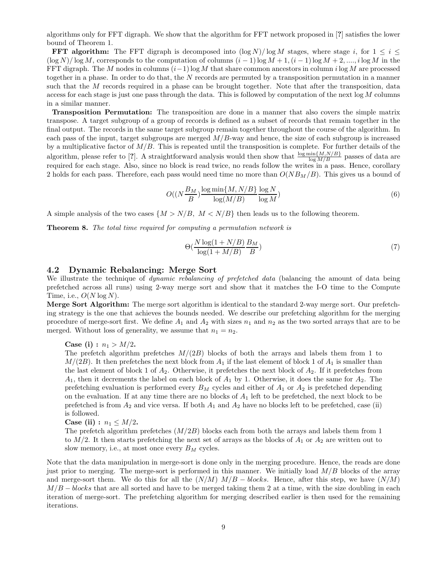algorithms only for FFT digraph. We show that the algorithm for FFT network proposed in [?] satisfies the lower bound of Theorem 1.

**FFT algorithm:** The FFT digraph is decomposed into  $(\log N)/\log M$  stages, where stage i, for  $1 \leq i \leq$  $(\log N)/\log M$ , corresponds to the computation of columns  $(i-1)\log M + 1$ ,  $(i-1)\log M + 2$ , ...,  $i\log M$  in the FFT digraph. The M nodes in columns  $(i-1)$  log M that share common ancestors in column i log M are processed together in a phase. In order to do that, the N records are permuted by a transposition permutation in a manner such that the M records required in a phase can be brought together. Note that after the transposition, data access for each stage is just one pass through the data. This is followed by computation of the next  $\log M$  columns in a similar manner.

Transposition Permutation: The transposition are done in a manner that also covers the simple matrix transpose. A target subgroup of a group of records is defined as a subset of records that remain together in the final output. The records in the same target subgroup remain together throughout the course of the algorithm. In each pass of the input, target subgroups are merged  $M/B$ -way and hence, the size of each subgroup is increased by a multiplicative factor of  $M/B$ . This is repeated until the transposition is complete. For further details of the algorithm, please refer to [?]. A straightforward analysis would then show that  $\frac{\log \min\{M, N/B\}}{\log M/B}$  passes of data are required for each stage. Also, since no block is read twice, no reads follow the writes in a pass. Hence, corollary 2 holds for each pass. Therefore, each pass would need time no more than  $O(NB_M/B)$ . This gives us a bound of

$$
O((N\frac{B_M}{B})\frac{\log \min\{M, N/B\}}{\log(M/B)}\frac{\log N}{\log M})
$$
\n(6)

A simple analysis of the two cases  $\{M > N/B, M < N/B\}$  then leads us to the following theorem.

**Theorem 8.** The total time required for computing a permutation network is

$$
\Theta\left(\frac{N\log(1+N/B)}{\log(1+M/B)}\frac{B_M}{B}\right) \tag{7}
$$

#### 4.2 Dynamic Rebalancing: Merge Sort

We illustrate the technique of *dynamic rebalancing of prefetched data* (balancing the amount of data being prefetched across all runs) using 2-way merge sort and show that it matches the I-O time to the Compute Time, i.e.,  $O(N \log N)$ .

Merge Sort Algorithm: The merge sort algorithm is identical to the standard 2-way merge sort. Our prefetching strategy is the one that achieves the bounds needed. We describe our prefetching algorithm for the merging procedure of merge-sort first. We define  $A_1$  and  $A_2$  with sizes  $n_1$  and  $n_2$  as the two sorted arrays that are to be merged. Without loss of generality, we assume that  $n_1 = n_2$ .

Case (i) :  $n_1 > M/2$ .

The prefetch algorithm prefetches  $M/(2B)$  blocks of both the arrays and labels them from 1 to  $M/(2B)$ . It then prefetches the next block from  $A_1$  if the last element of block 1 of  $A_1$  is smaller than the last element of block 1 of  $A_2$ . Otherwise, it prefetches the next block of  $A_2$ . If it prefetches from  $A_1$ , then it decrements the label on each block of  $A_1$  by 1. Otherwise, it does the same for  $A_2$ . The prefetching evaluation is performed every  $B_M$  cycles and either of  $A_1$  or  $A_2$  is prefetched depending on the evaluation. If at any time there are no blocks of  $A_1$  left to be prefetched, the next block to be prefetched is from  $A_2$  and vice versa. If both  $A_1$  and  $A_2$  have no blocks left to be prefetched, case (ii) is followed.

Case (ii) :  $n_1 \leq M/2$ .

The prefetch algorithm prefetches  $(M/2B)$  blocks each from both the arrays and labels them from 1 to  $M/2$ . It then starts prefetching the next set of arrays as the blocks of  $A_1$  or  $A_2$  are written out to slow memory, i.e., at most once every  $B_M$  cycles.

Note that the data manipulation in merge-sort is done only in the merging procedure. Hence, the reads are done just prior to merging. The merge-sort is performed in this manner. We initially load  $M/B$  blocks of the array and merge-sort them. We do this for all the  $(N/M)$   $M/B - blocks$ . Hence, after this step, we have  $(N/M)$  $M/B - blocks$  that are all sorted and have to be merged taking them 2 at a time, with the size doubling in each iteration of merge-sort. The prefetching algorithm for merging described earlier is then used for the remaining iterations.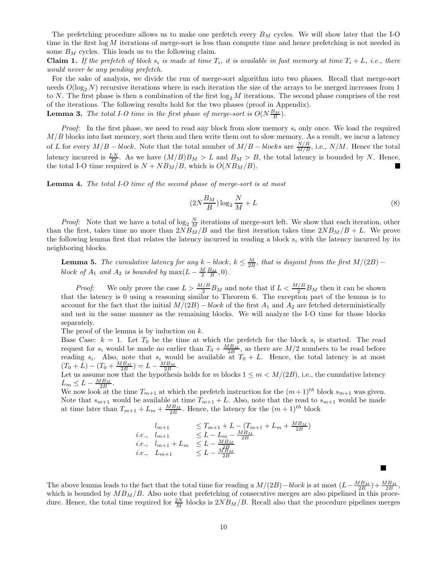The prefetching procedure allows us to make one prefetch every  $B_M$  cycles. We will show later that the I-O time in the first  $\log M$  iterations of merge-sort is less than compute time and hence prefetching is not needed in some  $B_M$  cycles. This leads us to the following claim.

**Claim 1.** If the prefetch of block  $s_i$  is made at time  $T_i$ , it is available in fast memory at time  $T_i + L$ , i.e., there would never be any pending prefetch.

For the sake of analysis, we divide the run of merge-sort algorithm into two phases. Recall that merge-sort needs  $O(\log_2 N)$  recursive iterations where in each iteration the size of the arrays to be merged increases from 1 to N. The first phase is then a combination of the first  $\log_2 M$  iterations. The second phase comprises of the rest of the iterations. The following results hold for the two phases (proof in Appendix).

**Lemma 3.** The total I-O time in the first phase of merge-sort is  $O(N\frac{B_M}{B})$ .

*Proof:* In the first phase, we need to read any block from slow memory  $s_i$  only once. We load the required  $M/B$  blocks into fast memory, sort them and then write them out to slow memory. As a result, we incur a latency of L for every  $M/B - block$ . Note that the total number of  $M/B - blocks$  are  $\frac{N/B}{M/B}$ , i.e.,  $N/M$ . Hence the total latency incurred is  $\frac{LN}{M}$ . As we have  $(M/B)B_M > L$  and  $B_M > B$ , the total latency is bounded by N. Hence, the total I-O time required is  $N + NB<sub>M</sub>/B$ , which is  $O(NB<sub>M</sub>/B)$ .

Lemma 4. The total I-O time of the second phase of merge-sort is at most

$$
(2N\frac{B_M}{B})\log_2\frac{N}{M} + L\tag{8}
$$

a s

*Proof:* Note that we have a total of  $\log_2 \frac{N}{M}$  iterations of merge-sort left. We show that each iteration, other than the first, takes time no more than  $2NB_M/B$  and the first iteration takes time  $2NB_M/B + L$ . We prove the following lemma first that relates the latency incurred in reading a block  $s_i$  with the latency incurred by its neighboring blocks.

**Lemma 5.** The cumulative latency for any  $k - block$ ,  $k \leq \frac{M}{2B}$ , that is disjoint from the first  $M/(2B)$  – block of  $A_1$  and  $A_2$  is bounded by  $\max(L - \frac{M}{2} \frac{B_M}{B}, 0)$ .

*Proof:* We only prove the case  $L > \frac{M/B}{2}B_M$  and note that if  $L < \frac{M/B}{2}B_M$  then it can be shown that the latency is 0 using a reasoning similar to Theorem 6. The exception part of the lemma is to account for the fact that the initial  $M/(2B) - block$  of the first  $A_1$  and  $A_2$  are fetched deterministically and not in the same manner as the remaining blocks. We will analyze the I-O time for those blocks separately.

The proof of the lemma is by induction on k.

Base Case:  $k = 1$ . Let  $T_0$  be the time at which the prefetch for the block  $s_i$  is started. The read request for  $s_i$  would be made no earlier than  $T_0 + \frac{MB_M}{2B}$ , as there are  $M/2$  numbers to be read before reading  $s_i$ . Also, note that  $s_i$  would be available at  $T_0 + L$ . Hence, the total latency is at most  $(T_0 + L) - (T_0 + \frac{MB_M}{2B}) = L - \frac{MB_M}{2B}.$ 

Let us assume now that the hypothesis holds for m blocks  $1 \leq m < M/(2B)$ , i.e., the cumulative latency  $L_m \leq L - \frac{MB_M}{2B}$ .

We now look at the time  $T_{m+1}$  at which the prefetch instruction for the  $(m+1)^{th}$  block  $s_{m+1}$  was given. Note that  $s_{m+1}$  would be available at time  $T_{m+1} + L$ . Also, note that the read to  $s_{m+1}$  would be made at time later than  $T_{m+1} + L_m + \frac{MB_M}{2B}$ . Hence, the latency for the  $(m+1)^{th}$  block

$$
l_{m+1} \leq T_{m+1} + L - (T_{m+1} + L_m + \frac{MB_M}{2B})
$$
  
i.e.,  $l_{m+1} \leq L - L_m - \frac{MB_M}{2B}$   
i.e.,  $l_{m+1} + L_m \leq L - \frac{MB_M}{2B}$   
i.e.,  $L_{m+1} \leq L - \frac{MB_M}{2B}$ 

The above lemma leads to the fact that the total time for reading a  $M/(2B) - block$  is at most  $(L - \frac{MB_M}{2B}) + \frac{MB_M}{2B}$ , which is bounded by  $MB_M/B$ . Also note that prefetching of consecutive merges are also pipelined in this procedure. Hence, the total time required for  $\frac{2N}{M}$  blocks is  $2NB_M/B$ . Recall also that the procedure pipelines merges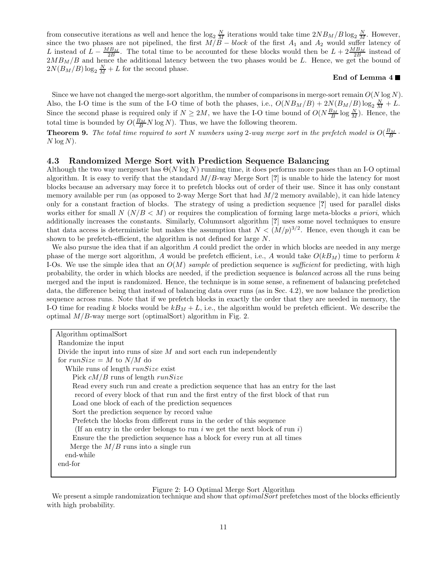from consecutive iterations as well and hence the  $\log_2 \frac{N}{M}$  iterations would take time  $2NB_M/B \log_2 \frac{N}{M}$ . However, since the two phases are not pipelined, the first  $M/B - block$  of the first  $A_1$  and  $A_2$  would suffer latency of L instead of  $L - \frac{MB_M}{2B}$ . The total time to be accounted for these blocks would then be  $L + 2\frac{MB_M}{2B}$  instead of  $2MB_M/B$  and hence the additional latency between the two phases would be L. Hence, we get the bound of  $2N(B_M/B)\log_2\frac{N}{M}+L$  for the second phase.

#### End of Lemma 4

Since we have not changed the merge-sort algorithm, the number of comparisons in merge-sort remain  $O(N \log N)$ . Also, the I-O time is the sum of the I-O time of both the phases, i.e.,  $O(NB_M/B) + 2N(B_M/B) \log_2 \frac{N}{M} + L$ . Since the second phase is required only if  $N \ge 2M$ , we have the I-O time bound of  $O(N\frac{B_M}{B} \log \frac{N}{M})$ . Hence, the total time is bounded by  $O(\frac{B_M}{B} N \log N)$ . Thus, we have the following theorem.

**Theorem 9.** The total time required to sort N numbers using 2-way merge sort in the prefetch model is  $O(\frac{B_M}{B} \cdot \frac{B_M}{B})$  $N \log N$ ).

#### 4.3 Randomized Merge Sort with Prediction Sequence Balancing

Although the two way mergesort has  $\Theta(N \log N)$  running time, it does performs more passes than an I-O optimal algorithm. It is easy to verify that the standard  $M/B$ -way Merge Sort  $[?]$  is unable to hide the latency for most blocks because an adversary may force it to prefetch blocks out of order of their use. Since it has only constant memory available per run (as opposed to 2-way Merge Sort that had  $M/2$  memory available), it can hide latency only for a constant fraction of blocks. The strategy of using a prediction sequence [?] used for parallel disks works either for small N  $(N/B < M)$  or requires the complication of forming large meta-blocks a priori, which additionally increases the constants. Similarly, Columnsort algorithm [?] uses some novel techniques to ensure that data access is deterministic but makes the assumption that  $N < (M/p)^{3/2}$ . Hence, even though it can be shown to be prefetch-efficient, the algorithm is not defined for large  $N$ .

We also pursue the idea that if an algorithm A could predict the order in which blocks are needed in any merge phase of the merge sort algorithm, A would be prefetch efficient, i.e., A would take  $O(kB<sub>M</sub>)$  time to perform k I-Os. We use the simple idea that an  $O(M)$  sample of prediction sequence is sufficient for predicting, with high probability, the order in which blocks are needed, if the prediction sequence is balanced across all the runs being merged and the input is randomized. Hence, the technique is in some sense, a refinement of balancing prefetched data, the difference being that instead of balancing data over runs (as in Sec. 4.2), we now balance the prediction sequence across runs. Note that if we prefetch blocks in exactly the order that they are needed in memory, the I-O time for reading k blocks would be  $kB_M + L$ , i.e., the algorithm would be prefetch efficient. We describe the optimal  $M/B$ -way merge sort (optimalSort) algorithm in Fig. 2.

| Algorithm optimalSort                                                                |
|--------------------------------------------------------------------------------------|
| Randomize the input                                                                  |
| Divide the input into runs of size $M$ and sort each run independently               |
| for $runSize = M$ to $N/M$ do                                                        |
| While runs of length runSize exist                                                   |
| Pick $cM/B$ runs of length $runSize$                                                 |
| Read every such run and create a prediction sequence that has an entry for the last  |
| record of every block of that run and the first entry of the first block of that run |
| Load one block of each of the prediction sequences                                   |
| Sort the prediction sequence by record value                                         |
| Prefetch the blocks from different runs in the order of this sequence                |
| (If an entry in the order belongs to run i we get the next block of run i)           |
| Ensure the the prediction sequence has a block for every run at all times            |
| Merge the $M/B$ runs into a single run                                               |
| end-while                                                                            |
| end-for                                                                              |
|                                                                                      |

Figure 2: I-O Optimal Merge Sort Algorithm

We present a simple randomization technique and show that *optimalSort* prefetches most of the blocks efficiently with high probability.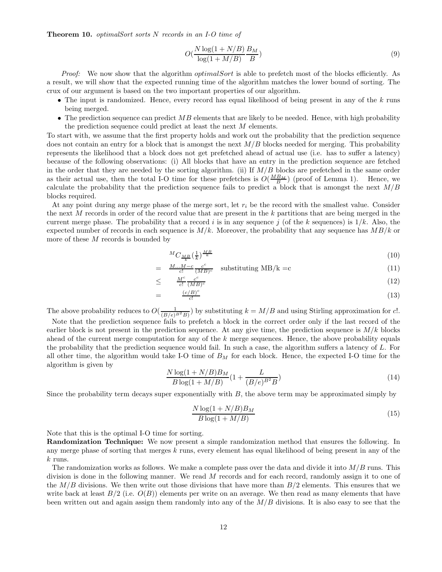Theorem 10. *optimalSort sorts N records in an I-O time of* 

$$
O\left(\frac{N\log(1+N/B)}{\log(1+M/B)}\frac{B_M}{B}\right) \tag{9}
$$

*Proof:* We now show that the algorithm *optimalSort* is able to prefetch most of the blocks efficiently. As a result, we will show that the expected running time of the algorithm matches the lower bound of sorting. The crux of our argument is based on the two important properties of our algorithm.

- The input is randomized. Hence, every record has equal likelihood of being present in any of the  $k$  runs being merged.
- The prediction sequence can predict  $MB$  elements that are likely to be needed. Hence, with high probability the prediction sequence could predict at least the next  $M$  elements.

To start with, we assume that the first property holds and work out the probability that the prediction sequence does not contain an entry for a block that is amongst the next  $M/B$  blocks needed for merging. This probability represents the likelihood that a block does not get prefetched ahead of actual use (i.e. has to suffer a latency) because of the following observations: (i) All blocks that have an entry in the prediction sequence are fetched in the order that they are needed by the sorting algorithm. (ii) If  $M/B$  blocks are prefetched in the same order as their actual use, then the total I-O time for these prefetches is  $O(\frac{MB_M}{B})$  (proof of Lemma 1). Hence, we calculate the probability that the prediction sequence fails to predict a block that is amongst the next  $M/B$ blocks required.

At any point during any merge phase of the merge sort, let  $r_i$  be the record with the smallest value. Consider the next M records in order of the record value that are present in the  $k$  partitions that are being merged in the current merge phase. The probability that a record i is in any sequence j (of the k sequences) is  $1/k$ . Also, the expected number of records in each sequence is  $M/k$ . Moreover, the probability that any sequence has  $MB/k$  or more of these M records is bounded by

$$
{}^{M}C_{\frac{MB}{k}}\left(\frac{1}{k}\right)^{\frac{MB}{k}}\tag{10}
$$

$$
= \frac{M...M-c}{c!} \frac{c^c}{(MB)^c} \quad \text{substituting MB/k} = c \tag{11}
$$

$$
\leq \frac{M^c}{c!} \frac{c^c}{(MB)^c} \tag{12}
$$

$$
=\frac{(c/B)^c}{c!} \tag{13}
$$

The above probability reduces to  $O(\frac{1}{(B/e)^{B^2}B})$  by substituting  $k = M/B$  and using Stirling approximation for c.

Note that the prediction sequence fails to prefetch a block in the correct order only if the last record of the earlier block is not present in the prediction sequence. At any give time, the prediction sequence is  $M/k$  blocks ahead of the current merge computation for any of the  $k$  merge sequences. Hence, the above probability equals the probability that the prediction sequence would fail. In such a case, the algorithm suffers a latency of L. For all other time, the algorithm would take I-O time of  $B_M$  for each block. Hence, the expected I-O time for the algorithm is given by

$$
\frac{N\log(1+N/B)B_M}{B\log(1+M/B)}(1+\frac{L}{(B/e)^{B^2}B})
$$
\n(14)

Since the probability term decays super exponentially with  $B$ , the above term may be approximated simply by

$$
\frac{N\log(1+N/B)B_M}{B\log(1+M/B)}
$$
\n(15)

Note that this is the optimal I-O time for sorting.

=

Randomization Technique: We now present a simple randomization method that ensures the following. In any merge phase of sorting that merges  $k$  runs, every element has equal likelihood of being present in any of the  $k$  runs.

The randomization works as follows. We make a complete pass over the data and divide it into  $M/B$  runs. This division is done in the following manner. We read M records and for each record, randomly assign it to one of the  $M/B$  divisions. We then write out those divisions that have more than  $B/2$  elements. This ensures that we write back at least  $B/2$  (i.e.  $O(B)$ ) elements per write on an average. We then read as many elements that have been written out and again assign them randomly into any of the  $M/B$  divisions. It is also easy to see that the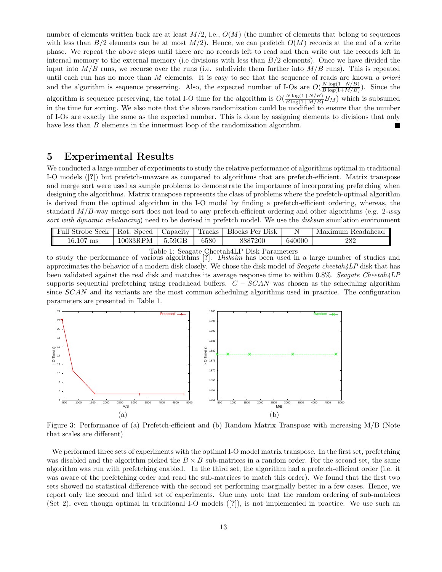number of elements written back are at least  $M/2$ , i.e.,  $O(M)$  (the number of elements that belong to sequences with less than  $B/2$  elements can be at most  $M/2$ . Hence, we can prefetch  $O(M)$  records at the end of a write phase. We repeat the above steps until there are no records left to read and then write out the records left in internal memory to the external memory (i.e divisions with less than B/2 elements). Once we have divided the input into  $M/B$  runs, we recurse over the runs (i.e. subdivide them further into  $M/B$  runs). This is repeated until each run has no more than  $M$  elements. It is easy to see that the sequence of reads are known a priori and the algorithm is sequence preserving. Also, the expected number of I-Os are  $O(\frac{N \log(1+N/B)}{B \log(1+M/B)})$  $\frac{N \log(1+N/B)}{B \log(1+M/B)}$ . Since the algorithm is sequence preserving, the total I-O time for the algorithm is  $O(\frac{N \log(1+N/B)}{B \log(1+M/B)} B_M)$  which is subsumed in the time for sorting. We also note that the above randomization could be modified to ensure that the number of I-Os are exactly the same as the expected number. This is done by assigning elements to divisions that only have less than B elements in the innermost loop of the randomization algorithm.

## 5 Experimental Results

We conducted a large number of experiments to study the relative performance of algorithms optimal in traditional I-O models ([?]) but prefetch-unaware as compared to algorithms that are prefetch-efficient. Matrix transpose and merge sort were used as sample problems to demonstrate the importance of incorporating prefetching when designing the algorithms. Matrix transpose represents the class of problems where the prefetch-optimal algorithm is derived from the optimal algorithm in the I-O model by finding a prefetch-efficient ordering, whereas, the standard  $M/B$ -way merge sort does not lead to any prefetch-efficient ordering and other algorithms (e.g. 2-way sort with dynamic rebalancing) need to be devised in prefetch model. We use the disksim simulation environment

| Full<br>Seek<br>Strobe | Kot.<br>Speed | <i>J</i> apacity  | $\overline{\phantom{0}}$<br>Tracks | $\mathbf{\Gamma}$<br>Blocks<br>Disk<br>Per | N      | Readahead<br>Maximum |
|------------------------|---------------|-------------------|------------------------------------|--------------------------------------------|--------|----------------------|
| 16.107<br>$\rm ms$     | 10033RPM      | $5.59\mathrm{GB}$ | 6580                               | 8887200                                    | 640000 | 282                  |

Table 1: Seagate Cheetah4LP Disk Parameters

to study the performance of various algorithms [?]. Disksim has been used in a large number of studies and approximates the behavior of a modern disk closely. We chose the disk model of *Seagate cheetah4LP* disk that has been validated against the real disk and matches its average response time to within 0.8%. Seagate Cheetah4LP supports sequential prefetching using readahead buffers.  $C - SCAN$  was chosen as the scheduling algorithm since SCAN and its variants are the most common scheduling algorithms used in practice. The configuration parameters are presented in Table 1.



Figure 3: Performance of (a) Prefetch-efficient and (b) Random Matrix Transpose with increasing M/B (Note that scales are different)

We performed three sets of experiments with the optimal I-O model matrix transpose. In the first set, prefetching was disabled and the algorithm picked the  $B \times B$  sub-matrices in a random order. For the second set, the same algorithm was run with prefetching enabled. In the third set, the algorithm had a prefetch-efficient order (i.e. it was aware of the prefetching order and read the sub-matrices to match this order). We found that the first two sets showed no statistical difference with the second set performing marginally better in a few cases. Hence, we report only the second and third set of experiments. One may note that the random ordering of sub-matrices (Set 2), even though optimal in traditional I-O models ([?]), is not implemented in practice. We use such an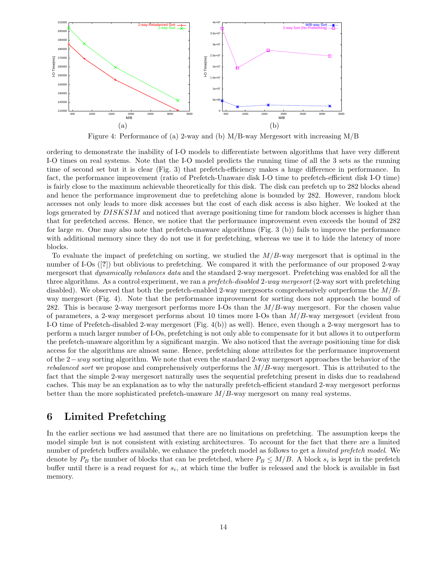

Figure 4: Performance of (a) 2-way and (b) M/B-way Mergesort with increasing M/B

ordering to demonstrate the inability of I-O models to differentiate between algorithms that have very different I-O times on real systems. Note that the I-O model predicts the running time of all the 3 sets as the running time of second set but it is clear (Fig. 3) that prefetch-efficiency makes a huge difference in performance. In fact, the performance improvement (ratio of Prefetch-Unaware disk I-O time to prefetch-efficient disk I-O time) is fairly close to the maximum achievable theoretically for this disk. The disk can prefetch up to 282 blocks ahead and hence the performance improvement due to prefetching alone is bounded by 282. However, random block accesses not only leads to more disk accesses but the cost of each disk access is also higher. We looked at the logs generated by  $DISKSIM$  and noticed that average positioning time for random block accesses is higher than that for prefetched access. Hence, we notice that the performance improvement even exceeds the bound of 282 for large m. One may also note that prefetch-unaware algorithms (Fig. 3 (b)) fails to improve the performance with additional memory since they do not use it for prefetching, whereas we use it to hide the latency of more blocks.

To evaluate the impact of prefetching on sorting, we studied the  $M/B$ -way mergesort that is optimal in the number of I-Os ([?]) but oblivious to prefetching. We compared it with the performance of our proposed 2-way mergesort that *dynamically rebalances data* and the standard 2-way mergesort. Prefetching was enabled for all the three algorithms. As a control experiment, we ran a *prefetch-disabled 2-way mergesort* (2-way sort with prefetching disabled). We observed that both the prefetch-enabled 2-way mergesorts comprehensively outperforms the  $M/B$ way mergesort (Fig. 4). Note that the performance improvement for sorting does not approach the bound of 282. This is because 2-way mergesort performs more I-Os than the  $M/B$ -way mergesort. For the chosen value of parameters, a 2-way mergesort performs about 10 times more I-Os than  $M/B$ -way mergesort (evident from I-O time of Prefetch-disabled 2-way mergesort (Fig. 4(b)) as well). Hence, even though a 2-way mergesort has to perform a much larger number of I-Os, prefetching is not only able to compensate for it but allows it to outperform the prefetch-unaware algorithm by a significant margin. We also noticed that the average positioning time for disk access for the algorithms are almost same. Hence, prefetching alone attributes for the performance improvement of the 2−way sorting algorithm. We note that even the standard 2-way mergesort approaches the behavior of the *rebalanced sort* we propose and comprehensively outperforms the  $M/B$ -way mergesort. This is attributed to the fact that the simple 2-way mergesort naturally uses the sequential prefetching present in disks due to readahead caches. This may be an explanation as to why the naturally prefetch-efficient standard 2-way mergesort performs better than the more sophisticated prefetch-unaware  $M/B$ -way mergesort on many real systems.

## 6 Limited Prefetching

In the earlier sections we had assumed that there are no limitations on prefetching. The assumption keeps the model simple but is not consistent with existing architectures. To account for the fact that there are a limited number of prefetch buffers available, we enhance the prefetch model as follows to get a *limited prefetch model*. We denote by  $P_B$  the number of blocks that can be prefetched, where  $P_B \leq M/B$ . A block  $s_i$  is kept in the prefetch buffer until there is a read request for  $s_i$ , at which time the buffer is released and the block is available in fast memory.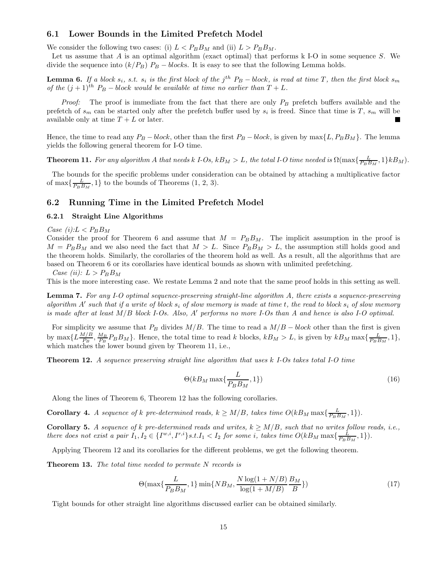#### 6.1 Lower Bounds in the Limited Prefetch Model

We consider the following two cases: (i)  $L < P_B B_M$  and (ii)  $L > P_B B_M$ .

Let us assume that A is an optimal algorithm (exact optimal) that performs  $k$  I-O in some sequence S. We divide the sequence into  $(k/P_B)$   $P_B - blocks$ . It is easy to see that the following Lemma holds.

**Lemma 6.** If a block  $s_i$ , s.t.  $s_i$  is the first block of the j<sup>th</sup>  $P_B - block$ , is read at time T, then the first block  $s_m$ of the  $(j+1)^{th}$   $P_B$  – block would be available at time no earlier than  $T + L$ .

*Proof:* The proof is immediate from the fact that there are only  $P_B$  prefetch buffers available and the prefetch of  $s_m$  can be started only after the prefetch buffer used by  $s_i$  is freed. Since that time is T,  $s_m$  will be available only at time  $T + L$  or later.

Hence, the time to read any  $P_B - block$ , other than the first  $P_B - block$ , is given by  $\max\{L, P_B B_M\}$ . The lemma yields the following general theorem for I-O time.

**Theorem 11.** For any algorithm A that needs k I-Os,  $kB_M > L$ , the total I-O time needed is  $\Omega(\max\{\frac{L}{P_B B_M}, 1\} k B_M)$ .

The bounds for the specific problems under consideration can be obtained by attaching a multiplicative factor of max $\{\frac{L}{P_B B_M}, 1\}$  to the bounds of Theorems  $(1, 2, 3)$ .

#### 6.2 Running Time in the Limited Prefetch Model

#### 6.2.1 Straight Line Algorithms

Case (i): $L < P_B B_M$ 

Consider the proof for Theorem 6 and assume that  $M = P_B B_M$ . The implicit assumption in the proof is  $M = P_B B_M$  and we also need the fact that  $M > L$ . Since  $P_B B_M > L$ , the assumption still holds good and the theorem holds. Similarly, the corollaries of the theorem hold as well. As a result, all the algorithms that are based on Theorem 6 or its corollaries have identical bounds as shown with unlimited prefetching.

Case (ii):  $L > P_B B_M$ 

This is the more interesting case. We restate Lemma 2 and note that the same proof holds in this setting as well.

Lemma 7. For any I-O optimal sequence-preserving straight-line algorithm A, there exists a sequence-preserving algorithm  $A'$  such that if a write of block  $s_i$  of slow memory is made at time t, the read to block  $s_i$  of slow memory is made after at least M/B block I-Os. Also, A′ performs no more I-Os than A and hence is also I-O optimal.

For simplicity we assume that  $P_B$  divides  $M/B$ . The time to read a  $M/B - block$  other than the first is given by max $\{L\frac{M/B}{P_P}$  $\frac{M/B}{P_B}, \frac{M_B}{P_B}P_B B_M$ . Hence, the total time to read k blocks,  $kB_M > L$ , is given by  $kB_M \max\{\frac{L}{P_B B_M}, 1\}$ , which matches the lower bound given by Theorem 11, i.e.,

**Theorem 12.** A sequence preserving straight line algorithm that uses k I-Os takes total I-O time

$$
\Theta(kB_M \max\{\frac{L}{P_B B_M}, 1\})\tag{16}
$$

Along the lines of Theorem 6, Theorem 12 has the following corollaries.

**Corollary 4.** A sequence of k pre-determined reads,  $k \geq M/B$ , takes time  $O(kB_M \max\{\frac{L}{P_B B_M}, 1\})$ .

**Corollary 5.** A sequence of k pre-determined reads and writes,  $k \geq M/B$ , such that no writes follow reads, i.e., there does not exist a pair  $I_1, I_2 \in \{I^{w,i}, I^{r,i}\}$ s.t. $I_1 < I_2$  for some i, takes time  $O(kB_M \max\{\frac{L}{P_B B_M}, 1\})$ .

Applying Theorem 12 and its corollaries for the different problems, we get the following theorem.

**Theorem 13.** The total time needed to permute  $N$  records is

$$
\Theta(\max\{\frac{L}{P_B B_M}, 1\} \min\{NB_M, \frac{N \log(1 + N/B)}{\log(1 + M/B)} \frac{B_M}{B}\})
$$
\n(17)

Tight bounds for other straight line algorithms discussed earlier can be obtained similarly.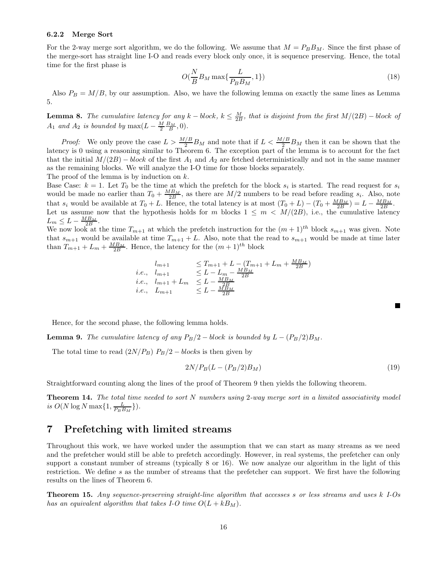#### 6.2.2 Merge Sort

For the 2-way merge sort algorithm, we do the following. We assume that  $M = P_B B_M$ . Since the first phase of the merge-sort has straight line I-O and reads every block only once, it is sequence preserving. Hence, the total time for the first phase is

$$
O(\frac{N}{B}B_M \max\{\frac{L}{P_B B_M}, 1\})
$$
\n(18)

Also  $P_B = M/B$ , by our assumption. Also, we have the following lemma on exactly the same lines as Lemma 5.

**Lemma 8.** The cumulative latency for any  $k - block$ ,  $k \leq \frac{M}{2B}$ , that is disjoint from the first  $M/(2B) - block$  of  $A_1$  and  $A_2$  is bounded by  $\max(L-\frac{M}{2}\frac{B_M}{B},0)$ .

*Proof:* We only prove the case  $L > \frac{M/B}{2}B_M$  and note that if  $L < \frac{M/B}{2}B_M$  then it can be shown that the latency is 0 using a reasoning similar to Theorem 6. The exception part of the lemma is to account for the fact that the initial  $M/(2B) - block$  of the first  $A_1$  and  $A_2$  are fetched deterministically and not in the same manner as the remaining blocks. We will analyze the I-O time for those blocks separately.

The proof of the lemma is by induction on k.

Base Case:  $k = 1$ . Let  $T_0$  be the time at which the prefetch for the block  $s_i$  is started. The read request for  $s_i$ would be made no earlier than  $T_0 + \frac{MB_M}{2B}$ , as there are  $M/2$  numbers to be read before reading  $s_i$ . Also, note would be made no cannot man  $T_0 + \frac{2B}{2B}$ , as there are  $M/2$  numbers to be read before reading  $s_i$ . Also, not that  $s_i$  would be available at  $T_0 + L$ . Hence, the total latency is at most  $(T_0 + L) - (T_0 + \frac{MB_M}{2B}) = L - \frac{MB_M$ Let us assume now that the hypothesis holds for m blocks  $1 \leq m \lt M/(2B)$ , i.e., the cumulative latency  $L_m \leq L - \frac{MB_M}{2B}$ .

We now look at the time  $T_{m+1}$  at which the prefetch instruction for the  $(m+1)^{th}$  block  $s_{m+1}$  was given. Note that  $s_{m+1}$  would be available at time  $T_{m+1} + L$ . Also, note that the read to  $s_{m+1}$  would be made at time later than  $T_{m+1} + L_m + \frac{MB_M}{2B}$ . Hence, the latency for the  $(m+1)^{th}$  block

$$
l_{m+1} \leq T_{m+1} + L - (T_{m+1} + L_m + \frac{MB_M}{2B})
$$
  
i.e.,  $l_{m+1} \leq L - L_m - \frac{MB_M}{2B}$   
i.e.,  $l_{m+1} + L_m \leq L - \frac{MB_M}{2B}$   
i.e.,  $L_{m+1} \leq L - \frac{MB_M}{2B}$ 

Hence, for the second phase, the following lemma holds.

**Lemma 9.** The cumulative latency of any  $P_B/2$  – block is bounded by  $L - (P_B/2)B_M$ .

The total time to read  $(2N/P_B)$   $P_B/2 - blocks$  is then given by

$$
2N/P_B(L - (P_B/2)B_M) \tag{19}
$$

Straightforward counting along the lines of the proof of Theorem 9 then yields the following theorem.

**Theorem 14.** The total time needed to sort  $N$  numbers using 2-way merge sort in a limited associativity model is  $O(N \log N \max\{1, \frac{L}{P_B B_M}\}).$ 

## 7 Prefetching with limited streams

Throughout this work, we have worked under the assumption that we can start as many streams as we need and the prefetcher would still be able to prefetch accordingly. However, in real systems, the prefetcher can only support a constant number of streams (typically 8 or 16). We now analyze our algorithm in the light of this restriction. We define s as the number of streams that the prefetcher can support. We first have the following results on the lines of Theorem 6.

Theorem 15. Any sequence-preserving straight-line algorithm that accesses s or less streams and uses k I-Os has an equivalent algorithm that takes I-O time  $O(L + kB_M)$ .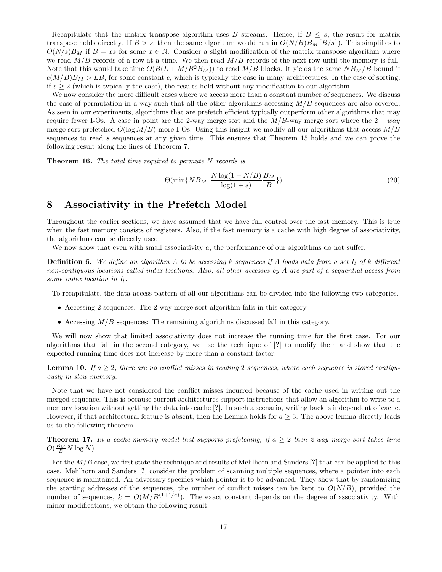Recapitulate that the matrix transpose algorithm uses B streams. Hence, if  $B \leq s$ , the result for matrix transpose holds directly. If  $B > s$ , then the same algorithm would run in  $O(N/B)B<sub>M</sub>[B/s]$ . This simplifies to  $O(N/s)B_M$  if  $B = xs$  for some  $x \in \mathbb{N}$ . Consider a slight modification of the matrix transpose algorithm where we read  $M/B$  records of a row at a time. We then read  $M/B$  records of the next row until the memory is full. Note that this would take time  $O(B(L + M/B^2B_M))$  to read  $M/B$  blocks. It yields the same  $NB_M/B$  bound if  $c(M/B)B_M > LB$ , for some constant c, which is typically the case in many architectures. In the case of sorting, if  $s \geq 2$  (which is typically the case), the results hold without any modification to our algorithm.

We now consider the more difficult cases where we access more than a constant number of sequences. We discuss the case of permutation in a way such that all the other algorithms accessing  $M/B$  sequences are also covered. As seen in our experiments, algorithms that are prefetch efficient typically outperform other algorithms that may require fewer I-Os. A case in point are the 2-way merge sort and the  $M/B$ -way merge sort where the 2 – way merge sort prefetched  $O(\log M/B)$  more I-Os. Using this insight we modify all our algorithms that access  $M/B$ sequences to read s sequences at any given time. This ensures that Theorem 15 holds and we can prove the following result along the lines of Theorem 7.

**Theorem 16.** The total time required to permute  $N$  records is

$$
\Theta(\min\{NB_M, \frac{N\log(1+N/B)}{\log(1+s)}\frac{B_M}{B}\})
$$
\n(20)

## 8 Associativity in the Prefetch Model

Throughout the earlier sections, we have assumed that we have full control over the fast memory. This is true when the fast memory consists of registers. Also, if the fast memory is a cache with high degree of associativity, the algorithms can be directly used.

We now show that even with small associativity  $a$ , the performance of our algorithms do not suffer.

**Definition 6.** We define an algorithm A to be accessing k sequences if A loads data from a set  $I_l$  of k different non-contiguous locations called index locations. Also, all other accesses by A are part of a sequential access from some index location in  $I_l$ .

To recapitulate, the data access pattern of all our algorithms can be divided into the following two categories.

- Accessing 2 sequences: The 2-way merge sort algorithm falls in this category
- Accessing  $M/B$  sequences: The remaining algorithms discussed fall in this category.

We will now show that limited associativity does not increase the running time for the first case. For our algorithms that fall in the second category, we use the technique of [?] to modify them and show that the expected running time does not increase by more than a constant factor.

**Lemma 10.** If  $a > 2$ , there are no conflict misses in reading 2 sequences, where each sequence is stored contiguously in slow memory.

Note that we have not considered the conflict misses incurred because of the cache used in writing out the merged sequence. This is because current architectures support instructions that allow an algorithm to write to a memory location without getting the data into cache [?]. In such a scenario, writing back is independent of cache. However, if that architectural feature is absent, then the Lemma holds for  $a \geq 3$ . The above lemma directly leads us to the following theorem.

**Theorem 17.** In a cache-memory model that supports prefetching, if  $a \geq 2$  then 2-way merge sort takes time  $O(\frac{B_M}{B}N\log N)$ .

For the  $M/B$  case, we first state the technique and results of Mehlhorn and Sanders [?] that can be applied to this case. Mehlhorn and Sanders [?] consider the problem of scanning multiple sequences, where a pointer into each sequence is maintained. An adversary specifies which pointer is to be advanced. They show that by randomizing the starting addresses of the sequences, the number of conflict misses can be kept to  $O(N/B)$ , provided the number of sequences,  $k = O(M/B^{(1+1/a)})$ . The exact constant depends on the degree of associativity. With minor modifications, we obtain the following result.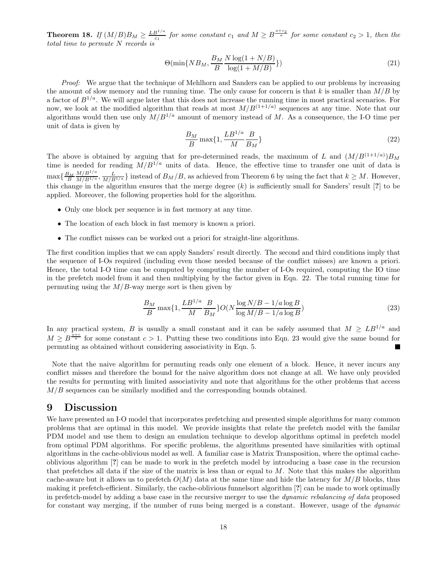**Theorem 18.** If  $(M/B)B_M \geq \frac{LB^{1/a}}{c_1}$  for some constant  $c_1$  and  $M \geq B^{\frac{a+c_2}{a}}$  for some constant  $c_2 > 1$ , then the total time to permute N records is

$$
\Theta(\min\{NB_M, \frac{B_M}{B} \frac{N \log(1 + N/B)}{\log(1 + M/B)}\})\tag{21}
$$

Proof: We argue that the technique of Mehlhorn and Sanders can be applied to our problems by increasing the amount of slow memory and the running time. The only cause for concern is that  $k$  is smaller than  $M/B$  by a factor of  $B^{1/a}$ . We will argue later that this does not increase the running time in most practical scenarios. For now, we look at the modified algorithm that reads at most  $M/B^{(1+1/a)}$  sequences at any time. Note that our algorithms would then use only  $M/B^{1/a}$  amount of memory instead of M. As a consequence, the I-O time per unit of data is given by

$$
\frac{B_M}{B} \max\{1, \frac{LB^{1/a}}{M} \frac{B}{B_M}\}\tag{22}
$$

The above is obtained by arguing that for pre-determined reads, the maximum of L and  $(M/B^{(1+1/a)})B_M$ time is needed for reading  $M/B^{1/a}$  units of data. Hence, the effective time to transfer one unit of data is  $\max\{\frac{B_M}{B}$  $\frac{M/B^{1/a}}{M/B^{1/a}}, \frac{L}{M/B^{1/a}}\}$  instead of  $B_M/B$ , as achieved from Theorem 6 by using the fact that  $k \geq M$ . However, this change in the algorithm ensures that the merge degree  $(k)$  is sufficiently small for Sanders' result  $[?]$  to be applied. Moreover, the following properties hold for the algorithm.

- Only one block per sequence is in fast memory at any time.
- The location of each block in fast memory is known a priori.
- The conflict misses can be worked out a priori for straight-line algorithms.

The first condition implies that we can apply Sanders' result directly. The second and third conditions imply that the sequence of I-Os required (including even those needed because of the conflict misses) are known a priori. Hence, the total I-O time can be computed by computing the number of I-Os required, computing the IO time in the prefetch model from it and then multiplying by the factor given in Eqn. 22. The total running time for permuting using the  $M/B$ -way merge sort is then given by

$$
\frac{B_M}{B} \max\{1, \frac{LB^{1/a}}{M} \frac{B}{B_M}\} O(N \frac{\log N/B - 1/a \log B}{\log M/B - 1/a \log B})
$$
\n(23)

In any practical system, B is usually a small constant and it can be safely assumed that  $M \geq LB^{1/a}$  and  $M \geq B^{\frac{a+c}{a}}$  for some constant  $c > 1$ . Putting these two conditions into Eqn. 23 would give the same bound for permuting as obtained without considering associativity in Eqn. 5.

Note that the naive algorithm for permuting reads only one element of a block. Hence, it never incurs any conflict misses and therefore the bound for the naive algorithm does not change at all. We have only provided the results for permuting with limited associativity and note that algorithms for the other problems that access  $M/B$  sequences can be similarly modified and the corresponding bounds obtained.

#### 9 Discussion

We have presented an I-O model that incorporates prefetching and presented simple algorithms for many common problems that are optimal in this model. We provide insights that relate the prefetch model with the familar PDM model and use them to design an emulation technique to develop algorithms optimal in prefetch model from optimal PDM algorithms. For specific problems, the algorithms presented have similarities with optimal algorithms in the cache-oblivious model as well. A familiar case is Matrix Transposition, where the optimal cacheoblivious algorithm [?] can be made to work in the prefetch model by introducing a base case in the recursion that prefetches all data if the size of the matrix is less than or equal to  $M$ . Note that this makes the algorithm cache-aware but it allows us to prefetch  $O(M)$  data at the same time and hide the latency for  $M/B$  blocks, thus making it prefetch-efficient. Similarly, the cache-oblivious funnelsort algorithm [?] can be made to work optimally in prefetch-model by adding a base case in the recursive merger to use the dynamic rebalancing of data proposed for constant way merging, if the number of runs being merged is a constant. However, usage of the *dynamic*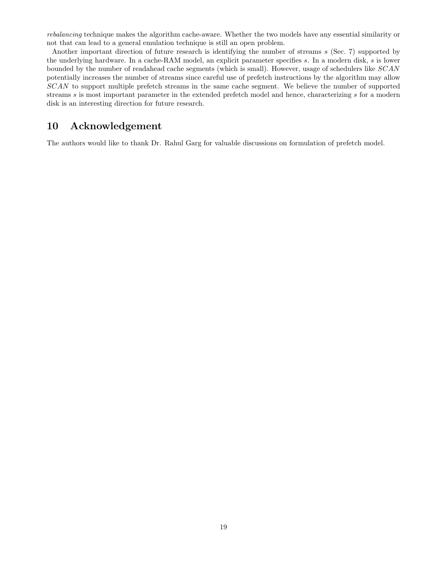rebalancing technique makes the algorithm cache-aware. Whether the two models have any essential similarity or not that can lead to a general emulation technique is still an open problem.

Another important direction of future research is identifying the number of streams s (Sec. 7) supported by the underlying hardware. In a cache-RAM model, an explicit parameter specifies s. In a modern disk, s is lower bounded by the number of readahead cache segments (which is small). However, usage of schedulers like SCAN potentially increases the number of streams since careful use of prefetch instructions by the algorithm may allow SCAN to support multiple prefetch streams in the same cache segment. We believe the number of supported streams s is most important parameter in the extended prefetch model and hence, characterizing s for a modern disk is an interesting direction for future research.

## 10 Acknowledgement

The authors would like to thank Dr. Rahul Garg for valuable discussions on formulation of prefetch model.